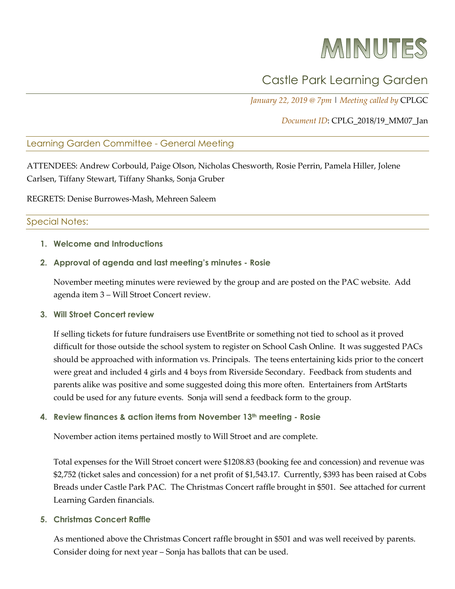# MINUTES

# Castle Park Learning Garden

*January 22, 2019 @ 7pm* | *Meeting called by* CPLGC

## *Document ID*: CPLG\_2018/19\_MM07\_Jan

## Learning Garden Committee - General Meeting

ATTENDEES: Andrew Corbould, Paige Olson, Nicholas Chesworth, Rosie Perrin, Pamela Hiller, Jolene Carlsen, Tiffany Stewart, Tiffany Shanks, Sonja Gruber

REGRETS: Denise Burrowes-Mash, Mehreen Saleem

#### Special Notes:

**1. Welcome and Introductions**

#### **2. Approval of agenda and last meeting's minutes - Rosie**

November meeting minutes were reviewed by the group and are posted on the PAC website. Add agenda item 3 – Will Stroet Concert review.

#### **3. Will Stroet Concert review**

If selling tickets for future fundraisers use EventBrite or something not tied to school as it proved difficult for those outside the school system to register on School Cash Online. It was suggested PACs should be approached with information vs. Principals. The teens entertaining kids prior to the concert were great and included 4 girls and 4 boys from Riverside Secondary. Feedback from students and parents alike was positive and some suggested doing this more often. Entertainers from ArtStarts could be used for any future events. Sonja will send a feedback form to the group.

#### **4. Review finances & action items from November 13th meeting - Rosie**

November action items pertained mostly to Will Stroet and are complete.

Total expenses for the Will Stroet concert were \$1208.83 (booking fee and concession) and revenue was \$2,752 (ticket sales and concession) for a net profit of \$1,543.17. Currently, \$393 has been raised at Cobs Breads under Castle Park PAC. The Christmas Concert raffle brought in \$501. See attached for current Learning Garden financials.

#### **5. Christmas Concert Raffle**

As mentioned above the Christmas Concert raffle brought in \$501 and was well received by parents. Consider doing for next year – Sonja has ballots that can be used.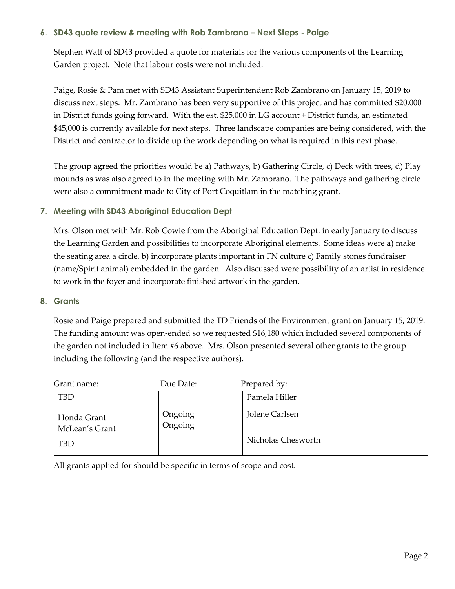# **6. SD43 quote review & meeting with Rob Zambrano – Next Steps - Paige**

Stephen Watt of SD43 provided a quote for materials for the various components of the Learning Garden project. Note that labour costs were not included.

Paige, Rosie & Pam met with SD43 Assistant Superintendent Rob Zambrano on January 15, 2019 to discuss next steps. Mr. Zambrano has been very supportive of this project and has committed \$20,000 in District funds going forward. With the est. \$25,000 in LG account + District funds, an estimated \$45,000 is currently available for next steps. Three landscape companies are being considered, with the District and contractor to divide up the work depending on what is required in this next phase.

The group agreed the priorities would be a) Pathways, b) Gathering Circle, c) Deck with trees, d) Play mounds as was also agreed to in the meeting with Mr. Zambrano. The pathways and gathering circle were also a commitment made to City of Port Coquitlam in the matching grant.

# **7. Meeting with SD43 Aboriginal Education Dept**

Mrs. Olson met with Mr. Rob Cowie from the Aboriginal Education Dept. in early January to discuss the Learning Garden and possibilities to incorporate Aboriginal elements. Some ideas were a) make the seating area a circle, b) incorporate plants important in FN culture c) Family stones fundraiser (name/Spirit animal) embedded in the garden. Also discussed were possibility of an artist in residence to work in the foyer and incorporate finished artwork in the garden.

# **8. Grants**

Rosie and Paige prepared and submitted the TD Friends of the Environment grant on January 15, 2019. The funding amount was open-ended so we requested \$16,180 which included several components of the garden not included in Item #6 above. Mrs. Olson presented several other grants to the group including the following (and the respective authors).

| Grant name:                   | Due Date:          | Prepared by:       |
|-------------------------------|--------------------|--------------------|
| <b>TBD</b>                    |                    | Pamela Hiller      |
| Honda Grant<br>McLean's Grant | Ongoing<br>Ongoing | Jolene Carlsen     |
| <b>TBD</b>                    |                    | Nicholas Chesworth |

All grants applied for should be specific in terms of scope and cost.